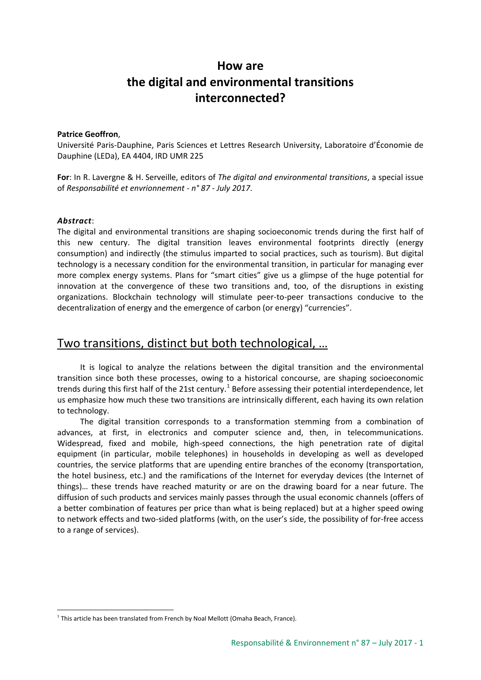# **How are the digital and environmental transitions interconnected?**

#### **Patrice Geoffron**,

Université Paris-Dauphine, Paris Sciences et Lettres Research University, Laboratoire d'Économie de Dauphine (LEDa), EA 4404, IRD UMR 225

**For**: In R. Lavergne & H. Serveille, editors of *The digital and environmental transitions*, a special issue of *Responsabilité et envrionnement - n° 87 - July 2017*.

#### *Abstract*:

The digital and environmental transitions are shaping socioeconomic trends during the first half of this new century. The digital transition leaves environmental footprints directly (energy consumption) and indirectly (the stimulus imparted to social practices, such as tourism). But digital technology is a necessary condition for the environmental transition, in particular for managing ever more complex energy systems. Plans for "smart cities" give us a glimpse of the huge potential for innovation at the convergence of these two transitions and, too, of the disruptions in existing organizations. Blockchain technology will stimulate peer-to-peer transactions conducive to the decentralization of energy and the emergence of carbon (or energy) "currencies".

## Two transitions, distinct but both technological, …

It is logical to analyze the relations between the digital transition and the environmental transition since both these processes, owing to a historical concourse, are shaping socioeconomic trends during this first half of the 2[1](#page-0-0)st century.<sup>1</sup> Before assessing their potential interdependence, let us emphasize how much these two transitions are intrinsically different, each having its own relation to technology.

The digital transition corresponds to a transformation stemming from a combination of advances, at first, in electronics and computer science and, then, in telecommunications. Widespread, fixed and mobile, high-speed connections, the high penetration rate of digital equipment (in particular, mobile telephones) in households in developing as well as developed countries, the service platforms that are upending entire branches of the economy (transportation, the hotel business, etc.) and the ramifications of the Internet for everyday devices (the Internet of things)… these trends have reached maturity or are on the drawing board for a near future. The diffusion of such products and services mainly passes through the usual economic channels (offers of a better combination of features per price than what is being replaced) but at a higher speed owing to network effects and two-sided platforms (with, on the user's side, the possibility of for-free access to a range of services).

<span id="page-0-0"></span><sup>-</sup> $1$  This article has been translated from French by Noal Mellott (Omaha Beach, France).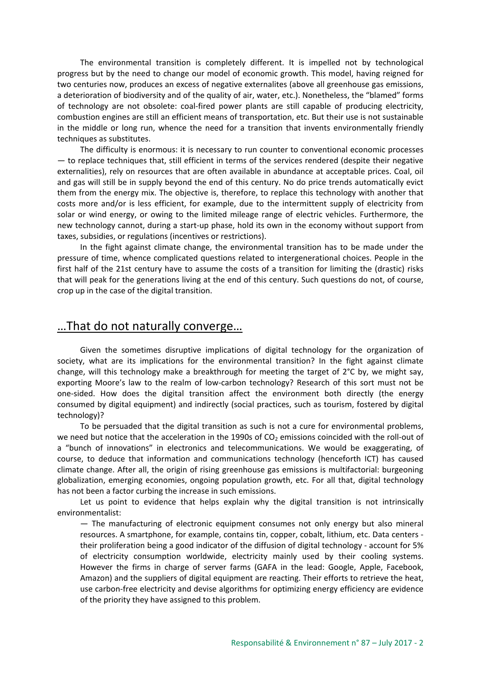The environmental transition is completely different. It is impelled not by technological progress but by the need to change our model of economic growth. This model, having reigned for two centuries now, produces an excess of negative externalites (above all greenhouse gas emissions, a deterioration of biodiversity and of the quality of air, water, etc.). Nonetheless, the "blamed" forms of technology are not obsolete: coal-fired power plants are still capable of producing electricity, combustion engines are still an efficient means of transportation, etc. But their use is not sustainable in the middle or long run, whence the need for a transition that invents environmentally friendly techniques as substitutes.

The difficulty is enormous: it is necessary to run counter to conventional economic processes — to replace techniques that, still efficient in terms of the services rendered (despite their negative externalities), rely on resources that are often available in abundance at acceptable prices. Coal, oil and gas will still be in supply beyond the end of this century. No do price trends automatically evict them from the energy mix. The objective is, therefore, to replace this technology with another that costs more and/or is less efficient, for example, due to the intermittent supply of electricity from solar or wind energy, or owing to the limited mileage range of electric vehicles. Furthermore, the new technology cannot, during a start-up phase, hold its own in the economy without support from taxes, subsidies, or regulations (incentives or restrictions).

In the fight against climate change, the environmental transition has to be made under the pressure of time, whence complicated questions related to intergenerational choices. People in the first half of the 21st century have to assume the costs of a transition for limiting the (drastic) risks that will peak for the generations living at the end of this century. Such questions do not, of course, crop up in the case of the digital transition.

#### …That do not naturally converge…

Given the sometimes disruptive implications of digital technology for the organization of society, what are its implications for the environmental transition? In the fight against climate change, will this technology make a breakthrough for meeting the target of 2°C by, we might say, exporting Moore's law to the realm of low-carbon technology? Research of this sort must not be one-sided. How does the digital transition affect the environment both directly (the energy consumed by digital equipment) and indirectly (social practices, such as tourism, fostered by digital technology)?

To be persuaded that the digital transition as such is not a cure for environmental problems, we need but notice that the acceleration in the 1990s of  $CO<sub>2</sub>$  emissions coincided with the roll-out of a "bunch of innovations" in electronics and telecommunications. We would be exaggerating, of course, to deduce that information and communications technology (henceforth ICT) has caused climate change. After all, the origin of rising greenhouse gas emissions is multifactorial: burgeoning globalization, emerging economies, ongoing population growth, etc. For all that, digital technology has not been a factor curbing the increase in such emissions.

Let us point to evidence that helps explain why the digital transition is not intrinsically environmentalist:

— The manufacturing of electronic equipment consumes not only energy but also mineral resources. A smartphone, for example, contains tin, copper, cobalt, lithium, etc. Data centers their proliferation being a good indicator of the diffusion of digital technology - account for 5% of electricity consumption worldwide, electricity mainly used by their cooling systems. However the firms in charge of server farms (GAFA in the lead: Google, Apple, Facebook, Amazon) and the suppliers of digital equipment are reacting. Their efforts to retrieve the heat, use carbon-free electricity and devise algorithms for optimizing energy efficiency are evidence of the priority they have assigned to this problem.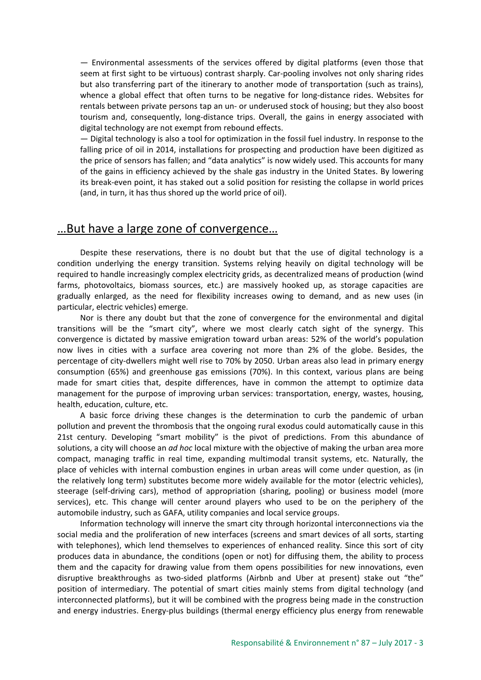— Environmental assessments of the services offered by digital platforms (even those that seem at first sight to be virtuous) contrast sharply. Car-pooling involves not only sharing rides but also transferring part of the itinerary to another mode of transportation (such as trains), whence a global effect that often turns to be negative for long-distance rides. Websites for rentals between private persons tap an un- or underused stock of housing; but they also boost tourism and, consequently, long-distance trips. Overall, the gains in energy associated with digital technology are not exempt from rebound effects.

— Digital technology is also a tool for optimization in the fossil fuel industry. In response to the falling price of oil in 2014, installations for prospecting and production have been digitized as the price of sensors has fallen; and "data analytics" is now widely used. This accounts for many of the gains in efficiency achieved by the shale gas industry in the United States. By lowering its break-even point, it has staked out a solid position for resisting the collapse in world prices (and, in turn, it has thus shored up the world price of oil).

## …But have a large zone of convergence…

Despite these reservations, there is no doubt but that the use of digital technology is a condition underlying the energy transition. Systems relying heavily on digital technology will be required to handle increasingly complex electricity grids, as decentralized means of production (wind farms, photovoltaics, biomass sources, etc.) are massively hooked up, as storage capacities are gradually enlarged, as the need for flexibility increases owing to demand, and as new uses (in particular, electric vehicles) emerge.

Nor is there any doubt but that the zone of convergence for the environmental and digital transitions will be the "smart city", where we most clearly catch sight of the synergy. This convergence is dictated by massive emigration toward urban areas: 52% of the world's population now lives in cities with a surface area covering not more than 2% of the globe. Besides, the percentage of city-dwellers might well rise to 70% by 2050. Urban areas also lead in primary energy consumption (65%) and greenhouse gas emissions (70%). In this context, various plans are being made for smart cities that, despite differences, have in common the attempt to optimize data management for the purpose of improving urban services: transportation, energy, wastes, housing, health, education, culture, etc.

A basic force driving these changes is the determination to curb the pandemic of urban pollution and prevent the thrombosis that the ongoing rural exodus could automatically cause in this 21st century. Developing "smart mobility" is the pivot of predictions. From this abundance of solutions, a city will choose an *ad hoc* local mixture with the objective of making the urban area more compact, managing traffic in real time, expanding multimodal transit systems, etc. Naturally, the place of vehicles with internal combustion engines in urban areas will come under question, as (in the relatively long term) substitutes become more widely available for the motor (electric vehicles), steerage (self-driving cars), method of appropriation (sharing, pooling) or business model (more services), etc. This change will center around players who used to be on the periphery of the automobile industry, such as GAFA, utility companies and local service groups.

Information technology will innerve the smart city through horizontal interconnections via the social media and the proliferation of new interfaces (screens and smart devices of all sorts, starting with telephones), which lend themselves to experiences of enhanced reality. Since this sort of city produces data in abundance, the conditions (open or not) for diffusing them, the ability to process them and the capacity for drawing value from them opens possibilities for new innovations, even disruptive breakthroughs as two-sided platforms (Airbnb and Uber at present) stake out "the" position of intermediary. The potential of smart cities mainly stems from digital technology (and interconnected platforms), but it will be combined with the progress being made in the construction and energy industries. Energy-plus buildings (thermal energy efficiency plus energy from renewable